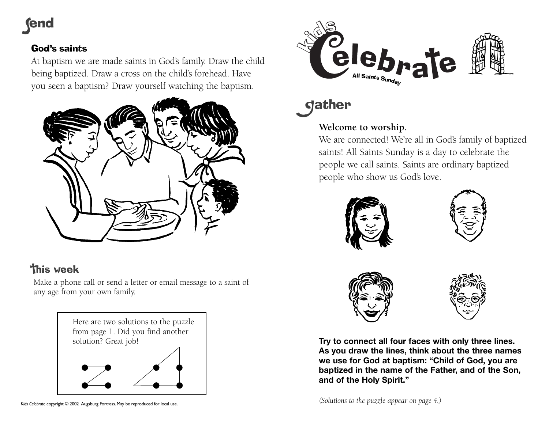# **fend**

### God's saints

At baptism we are made saints in God's family. Draw the child being baptized. Draw a cross on the child's forehead. Have you seen a baptism? Draw yourself watching the baptism.



## **this week**

Make a phone call or send a letter or email message to a saint of any age from your own family.

> Here are two solutions to the puzzle from page 1. Did you find another solution? Great job!



dather

## **Welcome to worship.**

We are connected! We're all in God's family of baptized saints! All Saints Sunday is a day to celebrate the people we call saints. Saints are ordinary baptized people who show us God's love.









**Try to connect all four faces with only three lines. As you draw the lines, think about the three names we use for God at baptism: "Child of God, you are baptized in the name of the Father, and of the Son, and of the Holy Spirit."**